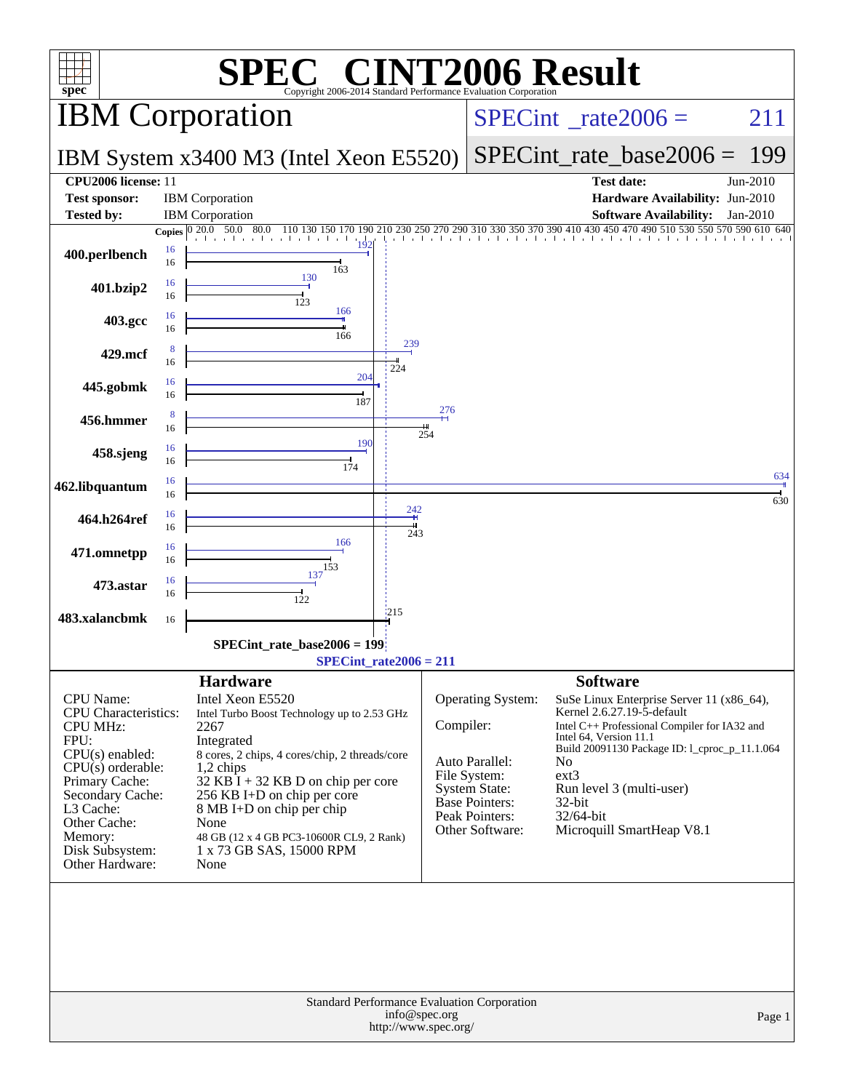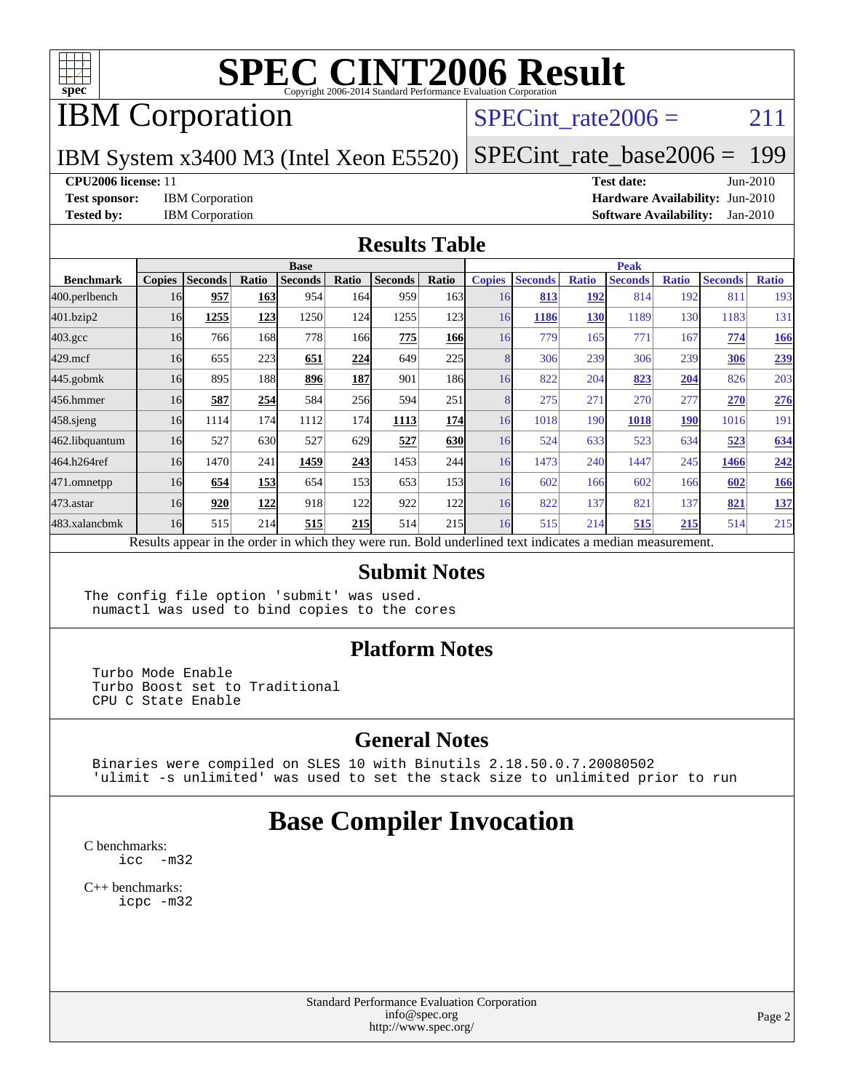

## IBM Corporation

### SPECint rate $2006 = 211$

### IBM System x3400 M3 (Intel Xeon E5520)

[SPECint\\_rate\\_base2006 =](http://www.spec.org/auto/cpu2006/Docs/result-fields.html#SPECintratebase2006) 199

#### **[CPU2006 license:](http://www.spec.org/auto/cpu2006/Docs/result-fields.html#CPU2006license)** 11 **[Test date:](http://www.spec.org/auto/cpu2006/Docs/result-fields.html#Testdate)** Jun-2010

**[Test sponsor:](http://www.spec.org/auto/cpu2006/Docs/result-fields.html#Testsponsor)** IBM Corporation **[Hardware Availability:](http://www.spec.org/auto/cpu2006/Docs/result-fields.html#HardwareAvailability)** Jun-2010 **[Tested by:](http://www.spec.org/auto/cpu2006/Docs/result-fields.html#Testedby)** IBM Corporation **[Software Availability:](http://www.spec.org/auto/cpu2006/Docs/result-fields.html#SoftwareAvailability)** Jan-2010

#### **[Results Table](http://www.spec.org/auto/cpu2006/Docs/result-fields.html#ResultsTable)**

|                  | <b>Base</b>   |                |       |                |       |                                                                                                          |            | <b>Peak</b>   |                |              |                |              |                |              |
|------------------|---------------|----------------|-------|----------------|-------|----------------------------------------------------------------------------------------------------------|------------|---------------|----------------|--------------|----------------|--------------|----------------|--------------|
| <b>Benchmark</b> | <b>Copies</b> | <b>Seconds</b> | Ratio | <b>Seconds</b> | Ratio | <b>Seconds</b>                                                                                           | Ratio      | <b>Copies</b> | <b>Seconds</b> | <b>Ratio</b> | <b>Seconds</b> | <b>Ratio</b> | <b>Seconds</b> | <b>Ratio</b> |
| 400.perlbench    | 16            | 957            | 163   | 954            | 164l  | 959                                                                                                      | 163        | 16            | 813            | 192          | 814            | 192          | 811            | 193          |
| 401.bzip2        | 16            | 1255           | 123   | 1250           | 124   | 1255                                                                                                     | 123        | 16            | 1186           | 130          | 1189           | 130          | 1183           | 131          |
| $403.\text{gcc}$ | 16            | 766            | 168   | 778            | 166   | 775                                                                                                      | <b>166</b> | 16            | 779            | 165          | 771            | 167          | 774            | 166          |
| $429$ .mcf       | 16            | 655            | 223   | 651            | 224   | 649                                                                                                      | 225        |               | 306            | 239          | 306            | 239          | 306            | 239          |
| $445$ .gobmk     | 16            | 895            | 188   | 896            | 187   | 901                                                                                                      | 186I       | 16            | 822            | 204          | 823            | 204          | 826            | 203          |
| 456.hmmer        | 16            | 587            | 254   | 584            | 256   | 594                                                                                                      | 251        |               | 275            | 271          | 270            | 277          | 270            | 276          |
| $458$ .sjeng     | 16            | 1114           | 174   | 1112           | 174I  | 1113                                                                                                     | 174        | 16            | 1018           | 190          | 1018           | <b>190</b>   | 1016           | 191          |
| 462.libquantum   | 16            | 527            | 630   | 527            | 629   | 527                                                                                                      | 630        | 16            | 524            | 633          | 523            | 634          | 523            | 634          |
| 464.h264ref      | 16            | 1470           | 241   | 1459           | 243   | 1453                                                                                                     | 244        | 16            | 1473           | 240          | 1447           | 245          | 1466           | 242          |
| 471.omnetpp      | 16            | 654            | 153   | 654            | 153   | 653                                                                                                      | 153        | 16            | 602            | 166          | 602            | 166          | 602            | 166          |
| $473$ . astar    | 16            | 920            | 122   | 918            | 122   | 922                                                                                                      | 122        | 16            | 822            | 137          | 821            | 137          | 821            | 137          |
| 483.xalancbmk    | 16            | 515            | 214   | 515            | 215   | 514                                                                                                      | 215        | 16            | 515            | 214          | 515            | 215          | 514            | 215          |
|                  |               |                |       |                |       | Results appear in the order in which they were run. Bold underlined text indicates a median measurement. |            |               |                |              |                |              |                |              |

#### **[Submit Notes](http://www.spec.org/auto/cpu2006/Docs/result-fields.html#SubmitNotes)**

The config file option 'submit' was used. numactl was used to bind copies to the cores

#### **[Platform Notes](http://www.spec.org/auto/cpu2006/Docs/result-fields.html#PlatformNotes)**

 Turbo Mode Enable Turbo Boost set to Traditional CPU C State Enable

### **[General Notes](http://www.spec.org/auto/cpu2006/Docs/result-fields.html#GeneralNotes)**

 Binaries were compiled on SLES 10 with Binutils 2.18.50.0.7.20080502 'ulimit -s unlimited' was used to set the stack size to unlimited prior to run

## **[Base Compiler Invocation](http://www.spec.org/auto/cpu2006/Docs/result-fields.html#BaseCompilerInvocation)**

[C benchmarks](http://www.spec.org/auto/cpu2006/Docs/result-fields.html#Cbenchmarks): icc  $-m32$ 

[C++ benchmarks:](http://www.spec.org/auto/cpu2006/Docs/result-fields.html#CXXbenchmarks) [icpc -m32](http://www.spec.org/cpu2006/results/res2010q3/cpu2006-20100719-12510.flags.html#user_CXXbase_intel_icpc_32bit_4e5a5ef1a53fd332b3c49e69c3330699)

> Standard Performance Evaluation Corporation [info@spec.org](mailto:info@spec.org) <http://www.spec.org/>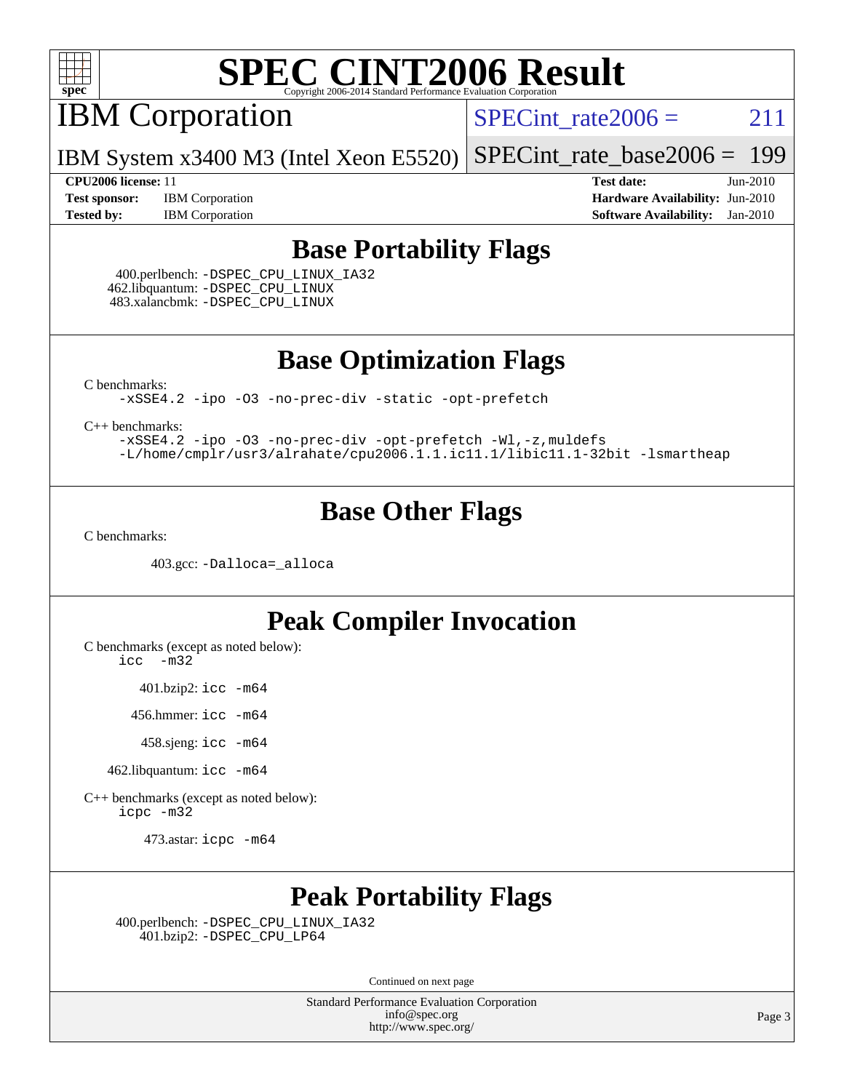

IBM Corporation

 $SPECTnt_rate2006 = 211$ 

IBM System x3400 M3 (Intel Xeon E5520) [SPECint\\_rate\\_base2006 =](http://www.spec.org/auto/cpu2006/Docs/result-fields.html#SPECintratebase2006) 199

**[Test sponsor:](http://www.spec.org/auto/cpu2006/Docs/result-fields.html#Testsponsor)** IBM Corporation **[Hardware Availability:](http://www.spec.org/auto/cpu2006/Docs/result-fields.html#HardwareAvailability)** Jun-2010

**[CPU2006 license:](http://www.spec.org/auto/cpu2006/Docs/result-fields.html#CPU2006license)** 11 **[Test date:](http://www.spec.org/auto/cpu2006/Docs/result-fields.html#Testdate)** Jun-2010 **[Tested by:](http://www.spec.org/auto/cpu2006/Docs/result-fields.html#Testedby)** IBM Corporation **[Software Availability:](http://www.spec.org/auto/cpu2006/Docs/result-fields.html#SoftwareAvailability)** Jan-2010

### **[Base Portability Flags](http://www.spec.org/auto/cpu2006/Docs/result-fields.html#BasePortabilityFlags)**

 400.perlbench: [-DSPEC\\_CPU\\_LINUX\\_IA32](http://www.spec.org/cpu2006/results/res2010q3/cpu2006-20100719-12510.flags.html#b400.perlbench_baseCPORTABILITY_DSPEC_CPU_LINUX_IA32) 462.libquantum: [-DSPEC\\_CPU\\_LINUX](http://www.spec.org/cpu2006/results/res2010q3/cpu2006-20100719-12510.flags.html#b462.libquantum_baseCPORTABILITY_DSPEC_CPU_LINUX) 483.xalancbmk: [-DSPEC\\_CPU\\_LINUX](http://www.spec.org/cpu2006/results/res2010q3/cpu2006-20100719-12510.flags.html#b483.xalancbmk_baseCXXPORTABILITY_DSPEC_CPU_LINUX)

**[Base Optimization Flags](http://www.spec.org/auto/cpu2006/Docs/result-fields.html#BaseOptimizationFlags)**

[C benchmarks](http://www.spec.org/auto/cpu2006/Docs/result-fields.html#Cbenchmarks):

[-xSSE4.2](http://www.spec.org/cpu2006/results/res2010q3/cpu2006-20100719-12510.flags.html#user_CCbase_f-xSSE42_f91528193cf0b216347adb8b939d4107) [-ipo](http://www.spec.org/cpu2006/results/res2010q3/cpu2006-20100719-12510.flags.html#user_CCbase_f-ipo) [-O3](http://www.spec.org/cpu2006/results/res2010q3/cpu2006-20100719-12510.flags.html#user_CCbase_f-O3) [-no-prec-div](http://www.spec.org/cpu2006/results/res2010q3/cpu2006-20100719-12510.flags.html#user_CCbase_f-no-prec-div) [-static](http://www.spec.org/cpu2006/results/res2010q3/cpu2006-20100719-12510.flags.html#user_CCbase_f-static) [-opt-prefetch](http://www.spec.org/cpu2006/results/res2010q3/cpu2006-20100719-12510.flags.html#user_CCbase_f-opt-prefetch)

[C++ benchmarks:](http://www.spec.org/auto/cpu2006/Docs/result-fields.html#CXXbenchmarks)

[-xSSE4.2](http://www.spec.org/cpu2006/results/res2010q3/cpu2006-20100719-12510.flags.html#user_CXXbase_f-xSSE42_f91528193cf0b216347adb8b939d4107) [-ipo](http://www.spec.org/cpu2006/results/res2010q3/cpu2006-20100719-12510.flags.html#user_CXXbase_f-ipo) [-O3](http://www.spec.org/cpu2006/results/res2010q3/cpu2006-20100719-12510.flags.html#user_CXXbase_f-O3) [-no-prec-div](http://www.spec.org/cpu2006/results/res2010q3/cpu2006-20100719-12510.flags.html#user_CXXbase_f-no-prec-div) [-opt-prefetch](http://www.spec.org/cpu2006/results/res2010q3/cpu2006-20100719-12510.flags.html#user_CXXbase_f-opt-prefetch) [-Wl,-z,muldefs](http://www.spec.org/cpu2006/results/res2010q3/cpu2006-20100719-12510.flags.html#user_CXXbase_link_force_multiple1_74079c344b956b9658436fd1b6dd3a8a) [-L/home/cmplr/usr3/alrahate/cpu2006.1.1.ic11.1/libic11.1-32bit -lsmartheap](http://www.spec.org/cpu2006/results/res2010q3/cpu2006-20100719-12510.flags.html#user_CXXbase_SmartHeap_d86dffe4a79b79ef8890d5cce17030c3)

## **[Base Other Flags](http://www.spec.org/auto/cpu2006/Docs/result-fields.html#BaseOtherFlags)**

[C benchmarks](http://www.spec.org/auto/cpu2006/Docs/result-fields.html#Cbenchmarks):

403.gcc: [-Dalloca=\\_alloca](http://www.spec.org/cpu2006/results/res2010q3/cpu2006-20100719-12510.flags.html#b403.gcc_baseEXTRA_CFLAGS_Dalloca_be3056838c12de2578596ca5467af7f3)

## **[Peak Compiler Invocation](http://www.spec.org/auto/cpu2006/Docs/result-fields.html#PeakCompilerInvocation)**

[C benchmarks \(except as noted below\)](http://www.spec.org/auto/cpu2006/Docs/result-fields.html#Cbenchmarksexceptasnotedbelow):

[icc -m32](http://www.spec.org/cpu2006/results/res2010q3/cpu2006-20100719-12510.flags.html#user_CCpeak_intel_icc_32bit_5ff4a39e364c98233615fdd38438c6f2)

401.bzip2: [icc -m64](http://www.spec.org/cpu2006/results/res2010q3/cpu2006-20100719-12510.flags.html#user_peakCCLD401_bzip2_intel_icc_64bit_bda6cc9af1fdbb0edc3795bac97ada53)

456.hmmer: [icc -m64](http://www.spec.org/cpu2006/results/res2010q3/cpu2006-20100719-12510.flags.html#user_peakCCLD456_hmmer_intel_icc_64bit_bda6cc9af1fdbb0edc3795bac97ada53)

458.sjeng: [icc -m64](http://www.spec.org/cpu2006/results/res2010q3/cpu2006-20100719-12510.flags.html#user_peakCCLD458_sjeng_intel_icc_64bit_bda6cc9af1fdbb0edc3795bac97ada53)

462.libquantum: [icc -m64](http://www.spec.org/cpu2006/results/res2010q3/cpu2006-20100719-12510.flags.html#user_peakCCLD462_libquantum_intel_icc_64bit_bda6cc9af1fdbb0edc3795bac97ada53)

[C++ benchmarks \(except as noted below\):](http://www.spec.org/auto/cpu2006/Docs/result-fields.html#CXXbenchmarksexceptasnotedbelow) [icpc -m32](http://www.spec.org/cpu2006/results/res2010q3/cpu2006-20100719-12510.flags.html#user_CXXpeak_intel_icpc_32bit_4e5a5ef1a53fd332b3c49e69c3330699)

473.astar: [icpc -m64](http://www.spec.org/cpu2006/results/res2010q3/cpu2006-20100719-12510.flags.html#user_peakCXXLD473_astar_intel_icpc_64bit_fc66a5337ce925472a5c54ad6a0de310)

## **[Peak Portability Flags](http://www.spec.org/auto/cpu2006/Docs/result-fields.html#PeakPortabilityFlags)**

 400.perlbench: [-DSPEC\\_CPU\\_LINUX\\_IA32](http://www.spec.org/cpu2006/results/res2010q3/cpu2006-20100719-12510.flags.html#b400.perlbench_peakCPORTABILITY_DSPEC_CPU_LINUX_IA32) 401.bzip2: [-DSPEC\\_CPU\\_LP64](http://www.spec.org/cpu2006/results/res2010q3/cpu2006-20100719-12510.flags.html#suite_peakCPORTABILITY401_bzip2_DSPEC_CPU_LP64)

Continued on next page

Standard Performance Evaluation Corporation [info@spec.org](mailto:info@spec.org) <http://www.spec.org/>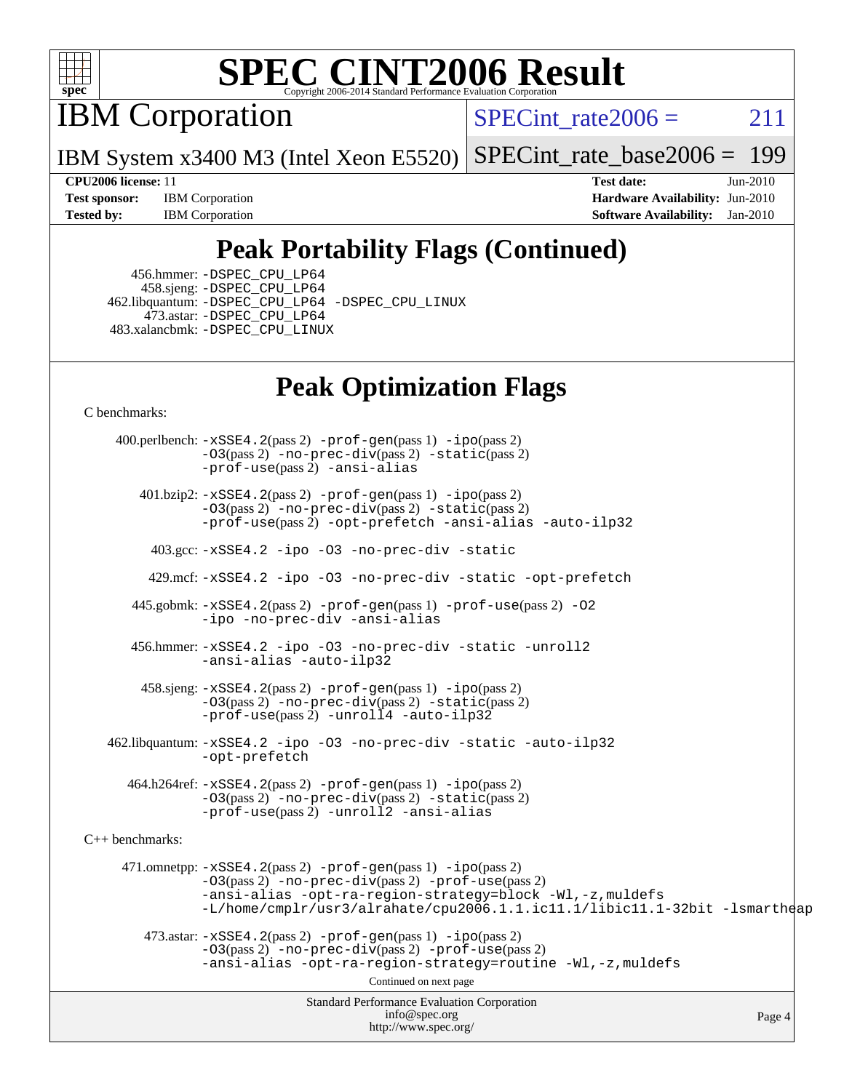

IBM Corporation

SPECint rate $2006 = 211$ 

IBM System x3400 M3 (Intel Xeon E5520) [SPECint\\_rate\\_base2006 =](http://www.spec.org/auto/cpu2006/Docs/result-fields.html#SPECintratebase2006) 199

**[Test sponsor:](http://www.spec.org/auto/cpu2006/Docs/result-fields.html#Testsponsor)** IBM Corporation **[Hardware Availability:](http://www.spec.org/auto/cpu2006/Docs/result-fields.html#HardwareAvailability)** Jun-2010 **[Tested by:](http://www.spec.org/auto/cpu2006/Docs/result-fields.html#Testedby)** IBM Corporation **[Software Availability:](http://www.spec.org/auto/cpu2006/Docs/result-fields.html#SoftwareAvailability)** Jan-2010

**[CPU2006 license:](http://www.spec.org/auto/cpu2006/Docs/result-fields.html#CPU2006license)** 11 **[Test date:](http://www.spec.org/auto/cpu2006/Docs/result-fields.html#Testdate)** Jun-2010

## **[Peak Portability Flags \(Continued\)](http://www.spec.org/auto/cpu2006/Docs/result-fields.html#PeakPortabilityFlags)**

 456.hmmer: [-DSPEC\\_CPU\\_LP64](http://www.spec.org/cpu2006/results/res2010q3/cpu2006-20100719-12510.flags.html#suite_peakCPORTABILITY456_hmmer_DSPEC_CPU_LP64) 458.sjeng: [-DSPEC\\_CPU\\_LP64](http://www.spec.org/cpu2006/results/res2010q3/cpu2006-20100719-12510.flags.html#suite_peakCPORTABILITY458_sjeng_DSPEC_CPU_LP64) 462.libquantum: [-DSPEC\\_CPU\\_LP64](http://www.spec.org/cpu2006/results/res2010q3/cpu2006-20100719-12510.flags.html#suite_peakCPORTABILITY462_libquantum_DSPEC_CPU_LP64) [-DSPEC\\_CPU\\_LINUX](http://www.spec.org/cpu2006/results/res2010q3/cpu2006-20100719-12510.flags.html#b462.libquantum_peakCPORTABILITY_DSPEC_CPU_LINUX) 473.astar: [-DSPEC\\_CPU\\_LP64](http://www.spec.org/cpu2006/results/res2010q3/cpu2006-20100719-12510.flags.html#suite_peakCXXPORTABILITY473_astar_DSPEC_CPU_LP64) 483.xalancbmk: [-DSPEC\\_CPU\\_LINUX](http://www.spec.org/cpu2006/results/res2010q3/cpu2006-20100719-12510.flags.html#b483.xalancbmk_peakCXXPORTABILITY_DSPEC_CPU_LINUX)

## **[Peak Optimization Flags](http://www.spec.org/auto/cpu2006/Docs/result-fields.html#PeakOptimizationFlags)**

[C benchmarks](http://www.spec.org/auto/cpu2006/Docs/result-fields.html#Cbenchmarks):

Standard Performance Evaluation Corporation [info@spec.org](mailto:info@spec.org) <http://www.spec.org/> Page 4 400.perlbench: [-xSSE4.2](http://www.spec.org/cpu2006/results/res2010q3/cpu2006-20100719-12510.flags.html#user_peakPASS2_CFLAGSPASS2_LDCFLAGS400_perlbench_f-xSSE42_f91528193cf0b216347adb8b939d4107)(pass 2) [-prof-gen](http://www.spec.org/cpu2006/results/res2010q3/cpu2006-20100719-12510.flags.html#user_peakPASS1_CFLAGSPASS1_LDCFLAGS400_perlbench_prof_gen_e43856698f6ca7b7e442dfd80e94a8fc)(pass 1) [-ipo](http://www.spec.org/cpu2006/results/res2010q3/cpu2006-20100719-12510.flags.html#user_peakPASS2_CFLAGSPASS2_LDCFLAGS400_perlbench_f-ipo)(pass 2) [-O3](http://www.spec.org/cpu2006/results/res2010q3/cpu2006-20100719-12510.flags.html#user_peakPASS2_CFLAGSPASS2_LDCFLAGS400_perlbench_f-O3)(pass 2) [-no-prec-div](http://www.spec.org/cpu2006/results/res2010q3/cpu2006-20100719-12510.flags.html#user_peakPASS2_CFLAGSPASS2_LDCFLAGS400_perlbench_f-no-prec-div)(pass 2) [-static](http://www.spec.org/cpu2006/results/res2010q3/cpu2006-20100719-12510.flags.html#user_peakPASS2_CFLAGSPASS2_LDCFLAGS400_perlbench_f-static)(pass 2) [-prof-use](http://www.spec.org/cpu2006/results/res2010q3/cpu2006-20100719-12510.flags.html#user_peakPASS2_CFLAGSPASS2_LDCFLAGS400_perlbench_prof_use_bccf7792157ff70d64e32fe3e1250b55)(pass 2) [-ansi-alias](http://www.spec.org/cpu2006/results/res2010q3/cpu2006-20100719-12510.flags.html#user_peakCOPTIMIZE400_perlbench_f-ansi-alias) 401.bzip2: [-xSSE4.2](http://www.spec.org/cpu2006/results/res2010q3/cpu2006-20100719-12510.flags.html#user_peakPASS2_CFLAGSPASS2_LDCFLAGS401_bzip2_f-xSSE42_f91528193cf0b216347adb8b939d4107)(pass 2) [-prof-gen](http://www.spec.org/cpu2006/results/res2010q3/cpu2006-20100719-12510.flags.html#user_peakPASS1_CFLAGSPASS1_LDCFLAGS401_bzip2_prof_gen_e43856698f6ca7b7e442dfd80e94a8fc)(pass 1) [-ipo](http://www.spec.org/cpu2006/results/res2010q3/cpu2006-20100719-12510.flags.html#user_peakPASS2_CFLAGSPASS2_LDCFLAGS401_bzip2_f-ipo)(pass 2) [-O3](http://www.spec.org/cpu2006/results/res2010q3/cpu2006-20100719-12510.flags.html#user_peakPASS2_CFLAGSPASS2_LDCFLAGS401_bzip2_f-O3)(pass 2) [-no-prec-div](http://www.spec.org/cpu2006/results/res2010q3/cpu2006-20100719-12510.flags.html#user_peakPASS2_CFLAGSPASS2_LDCFLAGS401_bzip2_f-no-prec-div)(pass 2) [-static](http://www.spec.org/cpu2006/results/res2010q3/cpu2006-20100719-12510.flags.html#user_peakPASS2_CFLAGSPASS2_LDCFLAGS401_bzip2_f-static)(pass 2) [-prof-use](http://www.spec.org/cpu2006/results/res2010q3/cpu2006-20100719-12510.flags.html#user_peakPASS2_CFLAGSPASS2_LDCFLAGS401_bzip2_prof_use_bccf7792157ff70d64e32fe3e1250b55)(pass 2) [-opt-prefetch](http://www.spec.org/cpu2006/results/res2010q3/cpu2006-20100719-12510.flags.html#user_peakCOPTIMIZE401_bzip2_f-opt-prefetch) [-ansi-alias](http://www.spec.org/cpu2006/results/res2010q3/cpu2006-20100719-12510.flags.html#user_peakCOPTIMIZE401_bzip2_f-ansi-alias) [-auto-ilp32](http://www.spec.org/cpu2006/results/res2010q3/cpu2006-20100719-12510.flags.html#user_peakCOPTIMIZE401_bzip2_f-auto-ilp32) 403.gcc: [-xSSE4.2](http://www.spec.org/cpu2006/results/res2010q3/cpu2006-20100719-12510.flags.html#user_peakCOPTIMIZE403_gcc_f-xSSE42_f91528193cf0b216347adb8b939d4107) [-ipo](http://www.spec.org/cpu2006/results/res2010q3/cpu2006-20100719-12510.flags.html#user_peakCOPTIMIZE403_gcc_f-ipo) [-O3](http://www.spec.org/cpu2006/results/res2010q3/cpu2006-20100719-12510.flags.html#user_peakCOPTIMIZE403_gcc_f-O3) [-no-prec-div](http://www.spec.org/cpu2006/results/res2010q3/cpu2006-20100719-12510.flags.html#user_peakCOPTIMIZE403_gcc_f-no-prec-div) [-static](http://www.spec.org/cpu2006/results/res2010q3/cpu2006-20100719-12510.flags.html#user_peakCOPTIMIZE403_gcc_f-static) 429.mcf: [-xSSE4.2](http://www.spec.org/cpu2006/results/res2010q3/cpu2006-20100719-12510.flags.html#user_peakCOPTIMIZE429_mcf_f-xSSE42_f91528193cf0b216347adb8b939d4107) [-ipo](http://www.spec.org/cpu2006/results/res2010q3/cpu2006-20100719-12510.flags.html#user_peakCOPTIMIZE429_mcf_f-ipo) [-O3](http://www.spec.org/cpu2006/results/res2010q3/cpu2006-20100719-12510.flags.html#user_peakCOPTIMIZE429_mcf_f-O3) [-no-prec-div](http://www.spec.org/cpu2006/results/res2010q3/cpu2006-20100719-12510.flags.html#user_peakCOPTIMIZE429_mcf_f-no-prec-div) [-static](http://www.spec.org/cpu2006/results/res2010q3/cpu2006-20100719-12510.flags.html#user_peakCOPTIMIZE429_mcf_f-static) [-opt-prefetch](http://www.spec.org/cpu2006/results/res2010q3/cpu2006-20100719-12510.flags.html#user_peakCOPTIMIZE429_mcf_f-opt-prefetch) 445.gobmk: [-xSSE4.2](http://www.spec.org/cpu2006/results/res2010q3/cpu2006-20100719-12510.flags.html#user_peakPASS2_CFLAGSPASS2_LDCFLAGS445_gobmk_f-xSSE42_f91528193cf0b216347adb8b939d4107)(pass 2) [-prof-gen](http://www.spec.org/cpu2006/results/res2010q3/cpu2006-20100719-12510.flags.html#user_peakPASS1_CFLAGSPASS1_LDCFLAGS445_gobmk_prof_gen_e43856698f6ca7b7e442dfd80e94a8fc)(pass 1) [-prof-use](http://www.spec.org/cpu2006/results/res2010q3/cpu2006-20100719-12510.flags.html#user_peakPASS2_CFLAGSPASS2_LDCFLAGS445_gobmk_prof_use_bccf7792157ff70d64e32fe3e1250b55)(pass 2) [-O2](http://www.spec.org/cpu2006/results/res2010q3/cpu2006-20100719-12510.flags.html#user_peakCOPTIMIZE445_gobmk_f-O2) [-ipo](http://www.spec.org/cpu2006/results/res2010q3/cpu2006-20100719-12510.flags.html#user_peakCOPTIMIZE445_gobmk_f-ipo) [-no-prec-div](http://www.spec.org/cpu2006/results/res2010q3/cpu2006-20100719-12510.flags.html#user_peakCOPTIMIZE445_gobmk_f-no-prec-div) [-ansi-alias](http://www.spec.org/cpu2006/results/res2010q3/cpu2006-20100719-12510.flags.html#user_peakCOPTIMIZE445_gobmk_f-ansi-alias) 456.hmmer: [-xSSE4.2](http://www.spec.org/cpu2006/results/res2010q3/cpu2006-20100719-12510.flags.html#user_peakCOPTIMIZE456_hmmer_f-xSSE42_f91528193cf0b216347adb8b939d4107) [-ipo](http://www.spec.org/cpu2006/results/res2010q3/cpu2006-20100719-12510.flags.html#user_peakCOPTIMIZE456_hmmer_f-ipo) [-O3](http://www.spec.org/cpu2006/results/res2010q3/cpu2006-20100719-12510.flags.html#user_peakCOPTIMIZE456_hmmer_f-O3) [-no-prec-div](http://www.spec.org/cpu2006/results/res2010q3/cpu2006-20100719-12510.flags.html#user_peakCOPTIMIZE456_hmmer_f-no-prec-div) [-static](http://www.spec.org/cpu2006/results/res2010q3/cpu2006-20100719-12510.flags.html#user_peakCOPTIMIZE456_hmmer_f-static) [-unroll2](http://www.spec.org/cpu2006/results/res2010q3/cpu2006-20100719-12510.flags.html#user_peakCOPTIMIZE456_hmmer_f-unroll_784dae83bebfb236979b41d2422d7ec2) [-ansi-alias](http://www.spec.org/cpu2006/results/res2010q3/cpu2006-20100719-12510.flags.html#user_peakCOPTIMIZE456_hmmer_f-ansi-alias) [-auto-ilp32](http://www.spec.org/cpu2006/results/res2010q3/cpu2006-20100719-12510.flags.html#user_peakCOPTIMIZE456_hmmer_f-auto-ilp32) 458.sjeng: [-xSSE4.2](http://www.spec.org/cpu2006/results/res2010q3/cpu2006-20100719-12510.flags.html#user_peakPASS2_CFLAGSPASS2_LDCFLAGS458_sjeng_f-xSSE42_f91528193cf0b216347adb8b939d4107)(pass 2) [-prof-gen](http://www.spec.org/cpu2006/results/res2010q3/cpu2006-20100719-12510.flags.html#user_peakPASS1_CFLAGSPASS1_LDCFLAGS458_sjeng_prof_gen_e43856698f6ca7b7e442dfd80e94a8fc)(pass 1) [-ipo](http://www.spec.org/cpu2006/results/res2010q3/cpu2006-20100719-12510.flags.html#user_peakPASS2_CFLAGSPASS2_LDCFLAGS458_sjeng_f-ipo)(pass 2) [-O3](http://www.spec.org/cpu2006/results/res2010q3/cpu2006-20100719-12510.flags.html#user_peakPASS2_CFLAGSPASS2_LDCFLAGS458_sjeng_f-O3)(pass 2) [-no-prec-div](http://www.spec.org/cpu2006/results/res2010q3/cpu2006-20100719-12510.flags.html#user_peakPASS2_CFLAGSPASS2_LDCFLAGS458_sjeng_f-no-prec-div)(pass 2) [-static](http://www.spec.org/cpu2006/results/res2010q3/cpu2006-20100719-12510.flags.html#user_peakPASS2_CFLAGSPASS2_LDCFLAGS458_sjeng_f-static)(pass 2) [-prof-use](http://www.spec.org/cpu2006/results/res2010q3/cpu2006-20100719-12510.flags.html#user_peakPASS2_CFLAGSPASS2_LDCFLAGS458_sjeng_prof_use_bccf7792157ff70d64e32fe3e1250b55)(pass 2) [-unroll4](http://www.spec.org/cpu2006/results/res2010q3/cpu2006-20100719-12510.flags.html#user_peakCOPTIMIZE458_sjeng_f-unroll_4e5e4ed65b7fd20bdcd365bec371b81f) [-auto-ilp32](http://www.spec.org/cpu2006/results/res2010q3/cpu2006-20100719-12510.flags.html#user_peakCOPTIMIZE458_sjeng_f-auto-ilp32) 462.libquantum: [-xSSE4.2](http://www.spec.org/cpu2006/results/res2010q3/cpu2006-20100719-12510.flags.html#user_peakCOPTIMIZE462_libquantum_f-xSSE42_f91528193cf0b216347adb8b939d4107) [-ipo](http://www.spec.org/cpu2006/results/res2010q3/cpu2006-20100719-12510.flags.html#user_peakCOPTIMIZE462_libquantum_f-ipo) [-O3](http://www.spec.org/cpu2006/results/res2010q3/cpu2006-20100719-12510.flags.html#user_peakCOPTIMIZE462_libquantum_f-O3) [-no-prec-div](http://www.spec.org/cpu2006/results/res2010q3/cpu2006-20100719-12510.flags.html#user_peakCOPTIMIZE462_libquantum_f-no-prec-div) [-static](http://www.spec.org/cpu2006/results/res2010q3/cpu2006-20100719-12510.flags.html#user_peakCOPTIMIZE462_libquantum_f-static) [-auto-ilp32](http://www.spec.org/cpu2006/results/res2010q3/cpu2006-20100719-12510.flags.html#user_peakCOPTIMIZE462_libquantum_f-auto-ilp32) [-opt-prefetch](http://www.spec.org/cpu2006/results/res2010q3/cpu2006-20100719-12510.flags.html#user_peakCOPTIMIZE462_libquantum_f-opt-prefetch) 464.h264ref: [-xSSE4.2](http://www.spec.org/cpu2006/results/res2010q3/cpu2006-20100719-12510.flags.html#user_peakPASS2_CFLAGSPASS2_LDCFLAGS464_h264ref_f-xSSE42_f91528193cf0b216347adb8b939d4107)(pass 2) [-prof-gen](http://www.spec.org/cpu2006/results/res2010q3/cpu2006-20100719-12510.flags.html#user_peakPASS1_CFLAGSPASS1_LDCFLAGS464_h264ref_prof_gen_e43856698f6ca7b7e442dfd80e94a8fc)(pass 1) [-ipo](http://www.spec.org/cpu2006/results/res2010q3/cpu2006-20100719-12510.flags.html#user_peakPASS2_CFLAGSPASS2_LDCFLAGS464_h264ref_f-ipo)(pass 2) [-O3](http://www.spec.org/cpu2006/results/res2010q3/cpu2006-20100719-12510.flags.html#user_peakPASS2_CFLAGSPASS2_LDCFLAGS464_h264ref_f-O3)(pass 2) [-no-prec-div](http://www.spec.org/cpu2006/results/res2010q3/cpu2006-20100719-12510.flags.html#user_peakPASS2_CFLAGSPASS2_LDCFLAGS464_h264ref_f-no-prec-div)(pass 2) [-static](http://www.spec.org/cpu2006/results/res2010q3/cpu2006-20100719-12510.flags.html#user_peakPASS2_CFLAGSPASS2_LDCFLAGS464_h264ref_f-static)(pass 2) [-prof-use](http://www.spec.org/cpu2006/results/res2010q3/cpu2006-20100719-12510.flags.html#user_peakPASS2_CFLAGSPASS2_LDCFLAGS464_h264ref_prof_use_bccf7792157ff70d64e32fe3e1250b55)(pass 2) [-unroll2](http://www.spec.org/cpu2006/results/res2010q3/cpu2006-20100719-12510.flags.html#user_peakCOPTIMIZE464_h264ref_f-unroll_784dae83bebfb236979b41d2422d7ec2) [-ansi-alias](http://www.spec.org/cpu2006/results/res2010q3/cpu2006-20100719-12510.flags.html#user_peakCOPTIMIZE464_h264ref_f-ansi-alias) [C++ benchmarks:](http://www.spec.org/auto/cpu2006/Docs/result-fields.html#CXXbenchmarks) 471.omnetpp: [-xSSE4.2](http://www.spec.org/cpu2006/results/res2010q3/cpu2006-20100719-12510.flags.html#user_peakPASS2_CXXFLAGSPASS2_LDCXXFLAGS471_omnetpp_f-xSSE42_f91528193cf0b216347adb8b939d4107)(pass 2) [-prof-gen](http://www.spec.org/cpu2006/results/res2010q3/cpu2006-20100719-12510.flags.html#user_peakPASS1_CXXFLAGSPASS1_LDCXXFLAGS471_omnetpp_prof_gen_e43856698f6ca7b7e442dfd80e94a8fc)(pass 1) [-ipo](http://www.spec.org/cpu2006/results/res2010q3/cpu2006-20100719-12510.flags.html#user_peakPASS2_CXXFLAGSPASS2_LDCXXFLAGS471_omnetpp_f-ipo)(pass 2) [-O3](http://www.spec.org/cpu2006/results/res2010q3/cpu2006-20100719-12510.flags.html#user_peakPASS2_CXXFLAGSPASS2_LDCXXFLAGS471_omnetpp_f-O3)(pass 2) [-no-prec-div](http://www.spec.org/cpu2006/results/res2010q3/cpu2006-20100719-12510.flags.html#user_peakPASS2_CXXFLAGSPASS2_LDCXXFLAGS471_omnetpp_f-no-prec-div)(pass 2) [-prof-use](http://www.spec.org/cpu2006/results/res2010q3/cpu2006-20100719-12510.flags.html#user_peakPASS2_CXXFLAGSPASS2_LDCXXFLAGS471_omnetpp_prof_use_bccf7792157ff70d64e32fe3e1250b55)(pass 2) [-ansi-alias](http://www.spec.org/cpu2006/results/res2010q3/cpu2006-20100719-12510.flags.html#user_peakCXXOPTIMIZE471_omnetpp_f-ansi-alias) [-opt-ra-region-strategy=block](http://www.spec.org/cpu2006/results/res2010q3/cpu2006-20100719-12510.flags.html#user_peakCXXOPTIMIZE471_omnetpp_f-opt-ra-region-strategy-block_a0a37c372d03933b2a18d4af463c1f69) [-Wl,-z,muldefs](http://www.spec.org/cpu2006/results/res2010q3/cpu2006-20100719-12510.flags.html#user_peakEXTRA_LDFLAGS471_omnetpp_link_force_multiple1_74079c344b956b9658436fd1b6dd3a8a) [-L/home/cmplr/usr3/alrahate/cpu2006.1.1.ic11.1/libic11.1-32bit -lsmartheap](http://www.spec.org/cpu2006/results/res2010q3/cpu2006-20100719-12510.flags.html#user_peakEXTRA_LIBS471_omnetpp_SmartHeap_d86dffe4a79b79ef8890d5cce17030c3)  $473.\text{astar: } -xSSE4$ .  $2(\text{pass 2})$   $-\text{prof-gen}(\text{pass 1})$   $-i\text{po}(\text{pass 2})$ [-O3](http://www.spec.org/cpu2006/results/res2010q3/cpu2006-20100719-12510.flags.html#user_peakPASS2_CXXFLAGSPASS2_LDCXXFLAGS473_astar_f-O3)(pass 2) [-no-prec-div](http://www.spec.org/cpu2006/results/res2010q3/cpu2006-20100719-12510.flags.html#user_peakPASS2_CXXFLAGSPASS2_LDCXXFLAGS473_astar_f-no-prec-div)(pass 2) [-prof-use](http://www.spec.org/cpu2006/results/res2010q3/cpu2006-20100719-12510.flags.html#user_peakPASS2_CXXFLAGSPASS2_LDCXXFLAGS473_astar_prof_use_bccf7792157ff70d64e32fe3e1250b55)(pass 2) [-ansi-alias](http://www.spec.org/cpu2006/results/res2010q3/cpu2006-20100719-12510.flags.html#user_peakCXXOPTIMIZE473_astar_f-ansi-alias) [-opt-ra-region-strategy=routine](http://www.spec.org/cpu2006/results/res2010q3/cpu2006-20100719-12510.flags.html#user_peakCXXOPTIMIZE473_astar_f-opt-ra-region-strategy-routine_ba086ea3b1d46a52e1238e2ca173ed44) [-Wl,-z,muldefs](http://www.spec.org/cpu2006/results/res2010q3/cpu2006-20100719-12510.flags.html#user_peakEXTRA_LDFLAGS473_astar_link_force_multiple1_74079c344b956b9658436fd1b6dd3a8a) Continued on next page